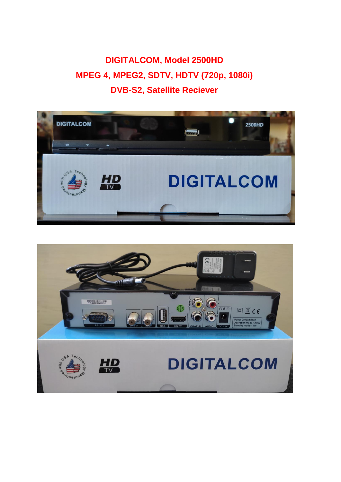**DIGITALCOM, Model 2500HD MPEG 4, MPEG2, SDTV, HDTV (720p, 1080i) DVB-S2, Satellite Reciever**



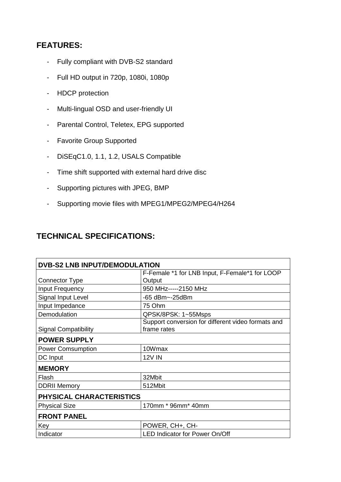## **FEATURES:**

- Fully compliant with DVB-S2 standard
- Full HD output in 720p, 1080i, 1080p
- HDCP protection
- Multi-lingual OSD and user-friendly UI
- Parental Control, Teletex, EPG supported
- Favorite Group Supported
- DiSEqC1.0, 1.1, 1.2, USALS Compatible
- Time shift supported with external hard drive disc
- Supporting pictures with JPEG, BMP
- Supporting movie files with MPEG1/MPEG2/MPEG4/H264

## **TECHNICAL SPECIFICATIONS:**

| <b>DVB-S2 LNB INPUT/DEMODULATION</b> |                                                                   |
|--------------------------------------|-------------------------------------------------------------------|
|                                      | F-Female *1 for LNB Input, F-Female*1 for LOOP                    |
| <b>Connector Type</b>                | Output                                                            |
| Input Frequency                      | 950 MHz-----2150 MHz                                              |
| Signal Input Level                   | -65 dBm~-25dBm                                                    |
| Input Impedance                      | 75 Ohm                                                            |
| Demodulation                         | QPSK/8PSK: 1~55Msps                                               |
| <b>Signal Compatibility</b>          | Support conversion for different video formats and<br>frame rates |
| <b>POWER SUPPLY</b>                  |                                                                   |
| <b>Power Comsumption</b>             | 10Wmax                                                            |
| DC Input                             | <b>12V IN</b>                                                     |
| <b>MEMORY</b>                        |                                                                   |
| Flash                                | 32Mbit                                                            |
| <b>DDRII Memory</b>                  | 512Mbit                                                           |
| PHYSICAL CHARACTERISTICS             |                                                                   |
| <b>Physical Size</b>                 | 170mm * 96mm* 40mm                                                |
| <b>FRONT PANEL</b>                   |                                                                   |
| Key                                  | POWER, CH+, CH-                                                   |
| Indicator                            | <b>LED Indicator for Power On/Off</b>                             |